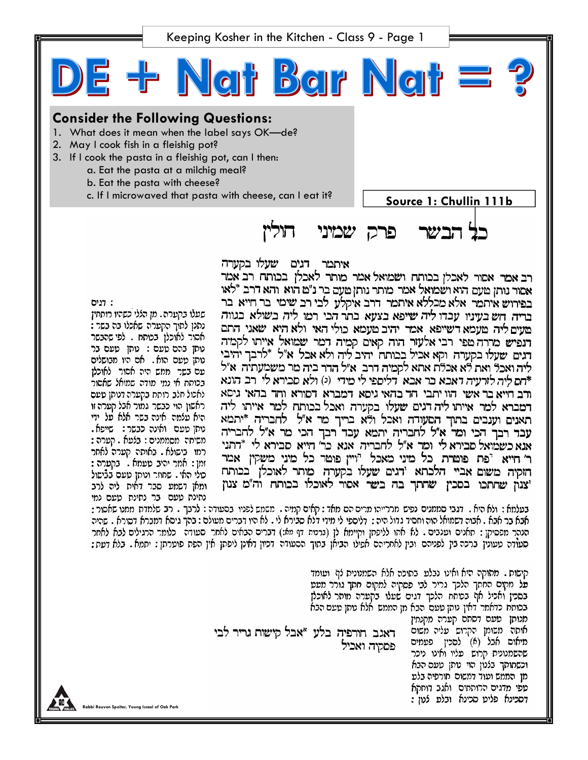Keeping Kosher in the Kitchen - Class 9 - Page 1

E + Ngt Bar Ngt = ? **Consider the Following Questions:**  1. What does it mean when the label says OK—de? 2. May I cook fish in a fleishig pot? 3. If I cook the pasta in a fleishig pot, can I then: a. Eat the pasta at a milchig meal? b. Eat the pasta with cheese? c. If I microwaved that pasta with cheese, can I eat it? **Source 1: Chullin 111b** חוליו פרק שמיני כל הבשר

איתמר דגים שעלו בקערה

בעלמא : ולא היא . דגבי סממנים נפיש מררייהו מרים הם מאד : קאים קמיה . משמש לפניו בסעודה : לרבך . רב שלמדת ממנו שאסור : אבא בר אבא . אבוה דשמואל הוה וחסיד גדול היה : דליספי לי מידי דלא סבירא לי . לא היו דברים מעולם : בהך גיסא דמברא דסורא . שהיה הנהר מפסיקן : תאנים וענבים . לא אתו לליפתן וקיימא לן (ברטות דף מא:) דברים הבאים לאחר סעודה -כלומר הרגילים לבא לאחר סעודה טעונין ברכה בין לפניהם ובין לאחריהם אפילו הביאן בתוך הסעודה דכיון דאינן ליפתן אין הפת פוטרתן : יתמא . בלא דעת :

רב אמר אסור לאכלן בבותח ושמואל אמר מותר לאכלן בכותח רב אמר אסור נותן טעם הוא ושמואל אמר מותר נותן טעם בר נ"ט הוא והא דרב \*לאו בפירוש איתמר אלא מכללא איתמר דרב איקלע לבי רב שימי בר חייא בר בריה חשבעיניו עבדו ליה שיפא בצעא בתר הכי רמו ליה בשולא בגווה מעים ליה מעמא דשייפא אמר יהיב מעמא כולי האי ולא היא שאני התם רנפיש מררה טפי רבי אלעזר הוה קאים קמיה דמר שמואל אייתו לקמיה רגים שעלו בקערה וקא אכיל בכותח יהיב ליה ולא אכל א"ל \*לרבך יהיבי ליה ואכל ואת לא אכלת אתא לקמיה דרב. א״ל הדר ביה מר משמעתיה. א״ל דתם ליה לורעיה דאכא בר אבא <sup>'</sup>דליספי לי מידי (ג) ולא סבירא לי רב הונא ורב חייא בר אשי הוו יתבי חד בהאי גיסא דמברא דסורא וחד בהאי גיסא דמברא למר אייתו ליה דגים שעלו בקערה ואכל בכותח למר אייתו ליה תאנים וענבים בתוך הסעורה ואכל ולא בריך מר א"ל לחבריה \*יתמא עבד רבך הכי ומר א"ל לחבריה יתמא עבד רבך הכי מר א"ל להבריה אנא כשמואל סבירא לי ומר א"ל לחבריה אנא כר' חייא סבירא לי \*רתני ר' חייא "פת פומרת כל מיני מאכל "ויין פומר כל מיני משקין אמר הזקיה משום אביי הלכתא 'דגים שעלו בקערה מותר לאוכלן בכותח יצנון שהתכו בסכין שהתך בה בשר אסור לאוכלו בכותח וה"מ צנון

: דגיס שעלו בקערה. מן הללי כשהיו רותחין נתנן לתוך הקערה שאכלו בה בשר : אהור לאוכלן בכותח . לפי שהבשר נותן בהם טעם: נותן טעם בר נותן טעם הוא . אם היו מבושלים עם בשר ממש היה אסור לאוכלז בכותח אי נמי מודה שמואל שאשור לאכול חלב רותח בקערה דנותן טעם ראשון הוי כבשר גמור אבל קערה זו היא עלמה אינה בשר אלא על ידי נותן טעם ואינה כבשר: שייפא. משיחה מסממנים : בלעא . קערה : רמו בישולא . באותה קערה לאתר זמן : אמר יהיב טעמא . בקערה : כולי האי . שחוזר ונותן טעם בבֿישול ומאן דשמע סבר דאית ליה לרב נחינת טעם בר נתינת טעם נמי

> קישות . מחוקה היא ואינו נבלט בתוכה אלא השמנונית לז' וטומד על מקום החתך הלכך גריר לבי פסקיה למקום חתך גורר מעט בסכין ואכיל אף בכותת הלכך דגים שעלו בקערה מותר לאוכלן בכותח כדאמר דאין נותן טעם הבא מן הממש אלא נותן טעם הבא מנותן עעם דסתם קערה מקנתין דאגב חורפיה בלע "אבל קישות גריר לבי אותה משומן הקרוש עליה משום מיאוס אבל (א) לסכין פעמים פסקיה ואכיל שהשמנונית קרוש פליו ואינו ניכר וכשמותך בלנון הוי טתן טעם הבא מן הממש ועוד דמשום תורפיה בלט טפי מדגים הרותחים. ואגב דוחקא דסכינא פליט סכינא ובלפ לנון :

**Rabbi Reuven Spolter, Young Israel of Oak Park**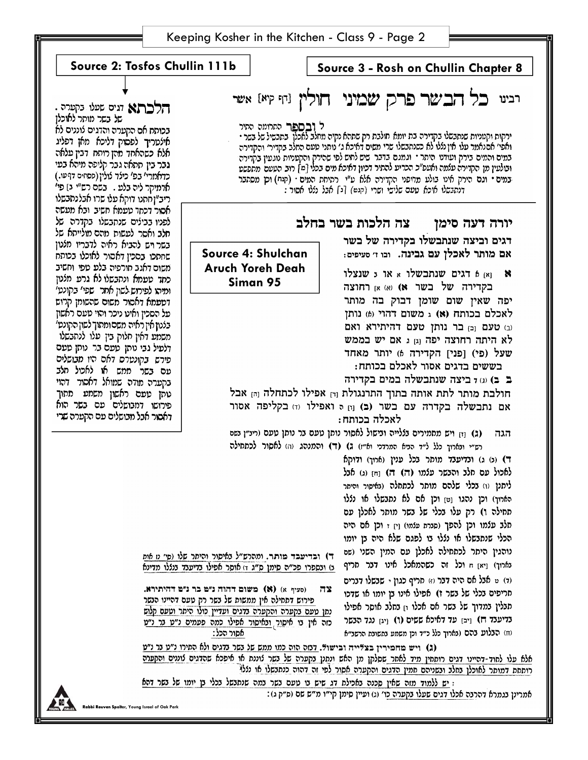|                                                                                                                                                                                                    |  | Keeping Kosher in the Kitchen - Class 9 - Page 2                                                                                                                             |                                                                                                  |
|----------------------------------------------------------------------------------------------------------------------------------------------------------------------------------------------------|--|------------------------------------------------------------------------------------------------------------------------------------------------------------------------------|--------------------------------------------------------------------------------------------------|
|                                                                                                                                                                                                    |  |                                                                                                                                                                              |                                                                                                  |
| Source 2: Tosfos Chullin 111b<br>Source 3 - Rosh on Chullin Chapter 8                                                                                                                              |  |                                                                                                                                                                              |                                                                                                  |
|                                                                                                                                                                                                    |  |                                                                                                                                                                              |                                                                                                  |
| הלכתא וגים שעלי בקערה .                                                                                                                                                                            |  |                                                                                                                                                                              | רבינו כל הבשר פרק שמיני חולין נה קיא אשר                                                         |
| של בשר מותר לאוכלן                                                                                                                                                                                 |  |                                                                                                                                                                              |                                                                                                  |
| בכותח אם הקערה והדגים לוננים לא                                                                                                                                                                    |  | ל <b>ובםפר</b> התרומה התיר                                                                                                                                                   | ירקות וקטניות שנתבשלו בקדירה בת יומא חולבת רק שתהא נקיה מחלב לאכלן בתבשיל של בשר •               |
| אילסריך לפסוק דליכא מאן דפליג<br>אלא כשהאחד מהן רותח דבין עלאה                                                                                                                                     |  | ואפי׳ אם נאמר עלו אין נללו לא כשנתבשלו שרי משים דאיכא ג׳ נותני טעם החלב בקדיר׳ והקדירה<br>במים והמים בירק ועודנו היתר · וגמנם בדבר שיש לחוש לפי שהירק והקטניות נוגעין בקדירה |                                                                                                  |
| גבר בין תתאה גבר קליפה מיהא בעי                                                                                                                                                                    |  | ובולעין מן הקדירה עלמה ואעפ"כ הכריע להתיר דכיון דאיכא מים בכלי [מ] רוב הטעם מחפשט                                                                                            |                                                                                                  |
| כדאמרי' בפ' כילד לולין (פסחים דףעו.)                                                                                                                                                               |  | במים י וגם הירק אינו בולע מדופני הקדירה אלא ע"י רתיחת המים י (קנח) וכן מסתבר                                                                                                 |                                                                                                  |
| ארמיקר ליה בלע . בשם רש"י בן פי'<br>ריב"ן חתנו דוקא עלו שרו אבלנתבשלו                                                                                                                              |  | דנהבשלו איכא עעם שלישי ושרי (קגש) [ג] אבל נללו אסור :                                                                                                                        |                                                                                                  |
| אסור דכתד טעמא חשיב ובא מעשה                                                                                                                                                                       |  |                                                                                                                                                                              |                                                                                                  |
| לפניו בבילים שנתבשלו בקדרה של                                                                                                                                                                      |  | יורה דעה סימן צה הלכות בשר בחלב                                                                                                                                              |                                                                                                  |
| חלב ואסר לעשות מהם מולייתא של                                                                                                                                                                      |  | דגים וביצה שנתבשלו בקדירה של בשר                                                                                                                                             |                                                                                                  |
| בשר ויש להביא ראיה לדבריו מלנון<br>שחתכו בסכין דאסור לאוכלו בכותח                                                                                                                                  |  | Source 4: Shulchan                                                                                                                                                           | אם מותר לאכלן עם גבינה. ובו ז׳ סעיפים:                                                           |
| משום דאגב חורפיה בלע טפי וחשיב                                                                                                                                                                     |  | <b>Aruch Yoreh Deah</b>                                                                                                                                                      | ואן 6 דגים שנתבשלו א או 5 שנצלו                                                                  |
| כתר טטמא ונהבשלו לא גרט מלטן                                                                                                                                                                       |  | Siman 95                                                                                                                                                                     | - 8<br>בקדירה של בשר א) (א) אן רחוצה                                                             |
| ומיהו לפירוש לשון אחר שפי׳ בקונט׳<br>דספמא דאסור משום שהשומן קרוש                                                                                                                                  |  |                                                                                                                                                                              | יפה שאין שום שומן דבוק בה מותר                                                                   |
| פל הסכין ואינו ניכר והוי טעם ראשון                                                                                                                                                                 |  | לאכלם בכותח (א) ג משום דהוי (6) נותן                                                                                                                                         |                                                                                                  |
| בלנו <b>ן</b> אין ראיה משםומתוך לשון הקונט׳                                                                                                                                                        |  | (ב) טעם וכן בר נותן טעם דהיתירא ואם<br>לא היתה רחוצה יפה וּוַ ג אם יש בממש                                                                                                   |                                                                                                  |
| משמע דאין חלוק בין עלו לנתבשלו                                                                                                                                                                     |  |                                                                                                                                                                              |                                                                                                  |
| דלטיל גבי נותן טעם בר נותן טעם<br>פירש בקונטרס דאם היו מבושלים                                                                                                                                     |  | שעל (פי) [פני] הקדירה 6) יותר מאחד                                                                                                                                           |                                                                                                  |
| עם בשר ממש או לאכול תלב                                                                                                                                                                            |  |                                                                                                                                                                              | בששים בדגים אסור לאכלם בכותח:                                                                    |
| בקערה מודה שמואל דאסור דהוי                                                                                                                                                                        |  | ב ב) (ג) ד ביצה שנתבשלה במים בקדירה                                                                                                                                          |                                                                                                  |
| טתן טעם ראשון משמע מתוך<br>פירושו דמבושלים עם בשר הוא                                                                                                                                              |  | חולבת מותר לתת אותה בתוך התרנגולת וּחַ אפילו לכתחלה וַחַ אבל<br>אם נתבשלה בקדרה עם בשר (ב) וון ס ואפילו וז בקליפה אסור                                                       |                                                                                                  |
| דאסור אבל מבושלים עם הקערה שרי                                                                                                                                                                     |  | לאכלה בכותח:                                                                                                                                                                 |                                                                                                  |
|                                                                                                                                                                                                    |  | (ג) וּז ויש מחמירים בללייה ובישול לאסור נותן טעם בר נותן טעם (ריב"ן בשם<br>הגה                                                                                               |                                                                                                  |
| רש״י ובארוך כלל ל״ד הביא המרדכי וא״ז) ג) (ד) והמנהג (ה) לאסור לכתחילה                                                                                                                              |  |                                                                                                                                                                              |                                                                                                  |
|                                                                                                                                                                                                    |  |                                                                                                                                                                              | ד) (כ) ג) וכדיענד מותר בכל ענין (ארון) ודוקא                                                     |
|                                                                                                                                                                                                    |  |                                                                                                                                                                              | לאכול עם חלב והבשר עלמו (ה) ה) וַחּן (ג) אבל                                                     |
|                                                                                                                                                                                                    |  |                                                                                                                                                                              | ליתנן (ו) בכלי שלהם מותר לכתחלה (באיסור והיתר                                                    |
|                                                                                                                                                                                                    |  |                                                                                                                                                                              | הארוך) וכן נהגו נטן וכן אם לא נתבשלו או נצלו                                                     |
|                                                                                                                                                                                                    |  |                                                                                                                                                                              | תחילה ו) רק עלו בכלי של בשר מותר לאכלן עם                                                        |
|                                                                                                                                                                                                    |  |                                                                                                                                                                              | חלב עלמו וכן להפך (סברת עלמו) וַיַן ז וכן אם היה<br>הכלי שנתבשלו או נללו בו לפגם שלא היה בן יומו |
|                                                                                                                                                                                                    |  |                                                                                                                                                                              | נוהגין היתר לכתחילה לאכלן עם המין השני (שם                                                       |
|                                                                                                                                                                                                    |  | ד) ובדיעבד מותר. ומהרש״ל נאיסור והיתר שלו (סי מ אות<br>נ) ונספרו פכ״ה סימן ס״ג ה) אוסר אפילו בדיענד ננללו מדינא                                                              | נארוך) ויאן ח וכל זה כשהמאכל אינו דבר חריף                                                       |
| (ד) ט אבל אם היה דבר וזו חריף כגון - שבשלו דברים                                                                                                                                                   |  |                                                                                                                                                                              |                                                                                                  |
| (סעיף א) ( <b>א) משום דהוה נ"מ כר נ"מ דהיתירא</b> .<br>צה                                                                                                                                          |  |                                                                                                                                                                              | תריפים בכלי של בשר ז) אפילו אינו בן יומו או שדכו                                                 |
|                                                                                                                                                                                                    |  | פירוש דתחילה אין ממשות של בשר רק טעם דהיינו הבשר<br>נתן טעם בקערה והקערה בדגים ועדיין כולו היתר וטעם קלוש                                                                    | תבלין במדוך של בשר אם אכלו <sub>י</sub> ן בחלב אוסר אפילו                                        |
|                                                                                                                                                                                                    |  | כזה אין <del>בו איסור ובאיסור אפילו כמה פעמים נ״ט בר נ״ט</del>                                                                                                               | נגד הנשר [1] [יבן עד דאיכא ששים (1) [יגן נגד הנשר                                                |
| אסור הכל:                                                                                                                                                                                          |  | (ח) הבלוע בהם (נארוך כלל כ״ד וכן משמע בתשובת הרשב״א                                                                                                                          |                                                                                                  |
| (ג) ויש מחמירין בצלייה ובישול. דמה הוה כמו ממש של בשר בדגים ולא המירו נ״ט בר נ״ט                                                                                                                   |  |                                                                                                                                                                              |                                                                                                  |
| אלא עלו לחוד-דהיינו דגים רותחין מיד לאחר שסלקן מן האש ונתנן בקערה של בשר לוננת או איפכא שהדגים לוננים והקערה<br>רותחת דמותר לאוכלן בחלב ובשניהם חמין הדגים והקערה אסור לפי זה דהוה כנתבשלו או נללי |  |                                                                                                                                                                              |                                                                                                  |
| : יַש ללמוד מזה שאין סכנה באכילת דג שיש בי טעם בשר במה שנתבשל בכלי בן יומו של בשר דהא                                                                                                              |  |                                                                                                                                                                              |                                                                                                  |
|                                                                                                                                                                                                    |  |                                                                                                                                                                              |                                                                                                  |

**Rabbi Reuven Spolter, Young Israel of Oak Park** 

**ALA** 

אמרינן בגמרא דהר<u>בה אכלו דגים שעלו בקערה כ</u>ו׳ (ג) ועיין סימן קי״ו מ״ש שם (ס״ק ג):

I

 $\circ$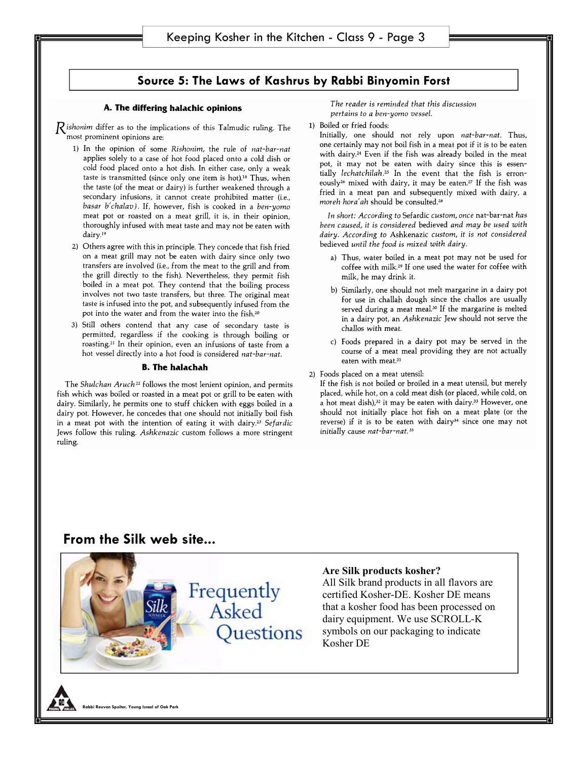### **Source 5: The Laws of Kashrus by Rabbi Binyomin Forst**

### A. The differing halachic opinions

 $R$  ishonim differ as to the implications of this Talmudic ruling. The most prominent opinions are:

- 1) In the opinion of some Rishonim, the rule of nat-bar-nat applies solely to a case of hot food placed onto a cold dish or cold food placed onto a hot dish. In either case, only a weak taste is transmitted (since only one item is hot).<sup>18</sup> Thus, when the taste (of the meat or dairy) is further weakened through a secondary infusions, it cannot create prohibited matter (i.e., basar b'chalav). If, however, fish is cooked in a ben-yomo meat pot or roasted on a meat grill, it is, in their opinion, thoroughly infused with meat taste and may not be eaten with dairy.<sup>19</sup>
- 2) Others agree with this in principle. They concede that fish fried on a meat grill may not be eaten with dairy since only two transfers are involved (i.e., from the meat to the grill and from the grill directly to the fish). Nevertheless, they permit fish boiled in a meat pot. They contend that the boiling process involves not two taste transfers, but three. The original meat taste is infused into the pot, and subsequently infused from the pot into the water and from the water into the fish.<sup>20</sup>
- 3) Still others contend that any case of secondary taste is permitted, regardless if the cooking is through boiling or roasting.<sup>21</sup> In their opinion, even an infusions of taste from a hot vessel directly into a hot food is considered nat-bar-nat.

### **B. The halachah**

The Shulchan Aruch<sup>22</sup> follows the most lenient opinion, and permits fish which was boiled or roasted in a meat pot or grill to be eaten with dairy. Similarly, he permits one to stuff chicken with eggs boiled in a dairy pot. However, he concedes that one should not initially boil fish in a meat pot with the intention of eating it with dairy.<sup>23</sup> Sefardic Jews follow this ruling. Ashkenazic custom follows a more stringent ruling.

The reader is reminded that this discussion pertains to a ben-yomo vessel.

1) Boiled or fried foods:

Initially, one should not rely upon nat-bar-nat. Thus, one certainly may not boil fish in a meat pot if it is to be eaten with dairy.<sup>24</sup> Even if the fish was already boiled in the meat pot, it may not be eaten with dairy since this is essentially lechatchilah.<sup>25</sup> In the event that the fish is erroneously<sup>26</sup> mixed with dairy, it may be eaten.<sup>27</sup> If the fish was fried in a meat pan and subsequently mixed with dairy, a moreh hora'ah should be consulted.<sup>28</sup>

In short: According to Sefardic custom, once nat-bar-nat has been caused, it is considered bedieved and may be used with dairy. According to Ashkenazic custom, it is not considered bedieved until the food is mixed with dairy.

- a) Thus, water boiled in a meat pot may not be used for coffee with milk.<sup>29</sup> If one used the water for coffee with milk, he may drink it.
- b) Similarly, one should not melt margarine in a dairy pot for use in challah dough since the challos are usually served during a meat meal.<sup>30</sup> If the margarine is melted in a dairy pot, an Ashkenazic Jew should not serve the challos with meat.
- c) Foods prepared in a dairy pot may be served in the course of a meat meal providing they are not actually eaten with meat.<sup>31</sup>
- 2) Foods placed on a meat utensil:

If the fish is not boiled or broiled in a meat utensil, but merely placed, while hot, on a cold meat dish (or placed, while cold, on a hot meat dish),<sup>32</sup> it may be eaten with dairy.<sup>33</sup> However, one should not initially place hot fish on a meat plate (or the reverse) if it is to be eaten with dairy<sup>34</sup> since one may not initially cause nat-bar-nat.<sup>35</sup>

## **From the Silk web site...**



### **Are Silk products kosher?**

All Silk brand products in all flavors are certified Kosher-DE. Kosher DE means that a kosher food has been processed on dairy equipment. We use SCROLL-K symbols on our packaging to indicate Kosher DE